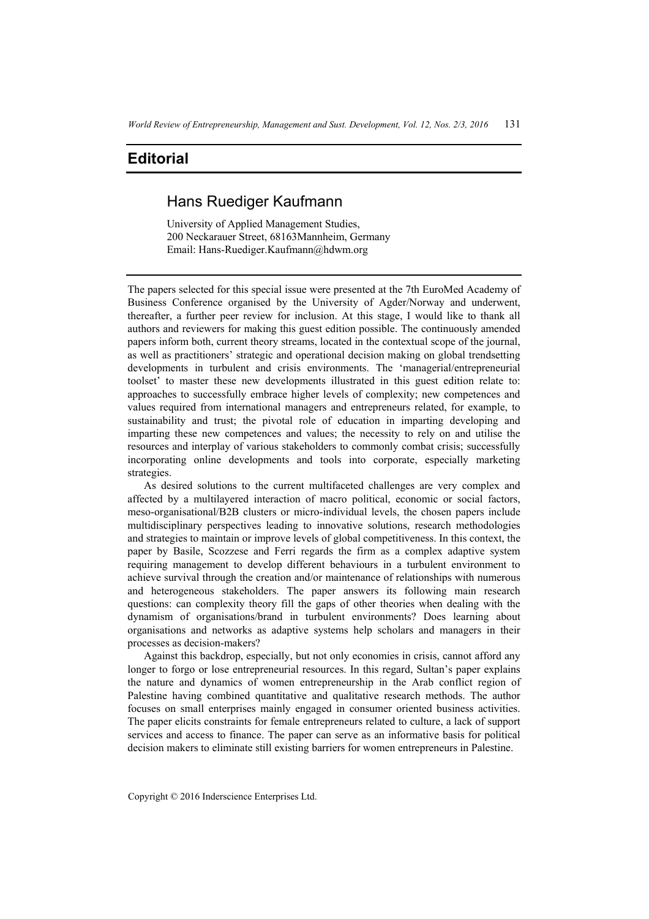# **Editorial**

# Hans Ruediger Kaufmann

University of Applied Management Studies, 200 Neckarauer Street, 68163Mannheim, Germany Email: Hans-Ruediger.Kaufmann@hdwm.org

The papers selected for this special issue were presented at the 7th EuroMed Academy of Business Conference organised by the University of Agder/Norway and underwent, thereafter, a further peer review for inclusion. At this stage, I would like to thank all authors and reviewers for making this guest edition possible. The continuously amended papers inform both, current theory streams, located in the contextual scope of the journal, as well as practitioners' strategic and operational decision making on global trendsetting developments in turbulent and crisis environments. The 'managerial/entrepreneurial toolset' to master these new developments illustrated in this guest edition relate to: approaches to successfully embrace higher levels of complexity; new competences and values required from international managers and entrepreneurs related, for example, to sustainability and trust; the pivotal role of education in imparting developing and imparting these new competences and values; the necessity to rely on and utilise the resources and interplay of various stakeholders to commonly combat crisis; successfully incorporating online developments and tools into corporate, especially marketing strategies.

As desired solutions to the current multifaceted challenges are very complex and affected by a multilayered interaction of macro political, economic or social factors, meso-organisational/B2B clusters or micro-individual levels, the chosen papers include multidisciplinary perspectives leading to innovative solutions, research methodologies and strategies to maintain or improve levels of global competitiveness. In this context, the paper by Basile, Scozzese and Ferri regards the firm as a complex adaptive system requiring management to develop different behaviours in a turbulent environment to achieve survival through the creation and/or maintenance of relationships with numerous and heterogeneous stakeholders. The paper answers its following main research questions: can complexity theory fill the gaps of other theories when dealing with the dynamism of organisations/brand in turbulent environments? Does learning about organisations and networks as adaptive systems help scholars and managers in their processes as decision-makers?

Against this backdrop, especially, but not only economies in crisis, cannot afford any longer to forgo or lose entrepreneurial resources. In this regard, Sultan's paper explains the nature and dynamics of women entrepreneurship in the Arab conflict region of Palestine having combined quantitative and qualitative research methods. The author focuses on small enterprises mainly engaged in consumer oriented business activities. The paper elicits constraints for female entrepreneurs related to culture, a lack of support services and access to finance. The paper can serve as an informative basis for political decision makers to eliminate still existing barriers for women entrepreneurs in Palestine.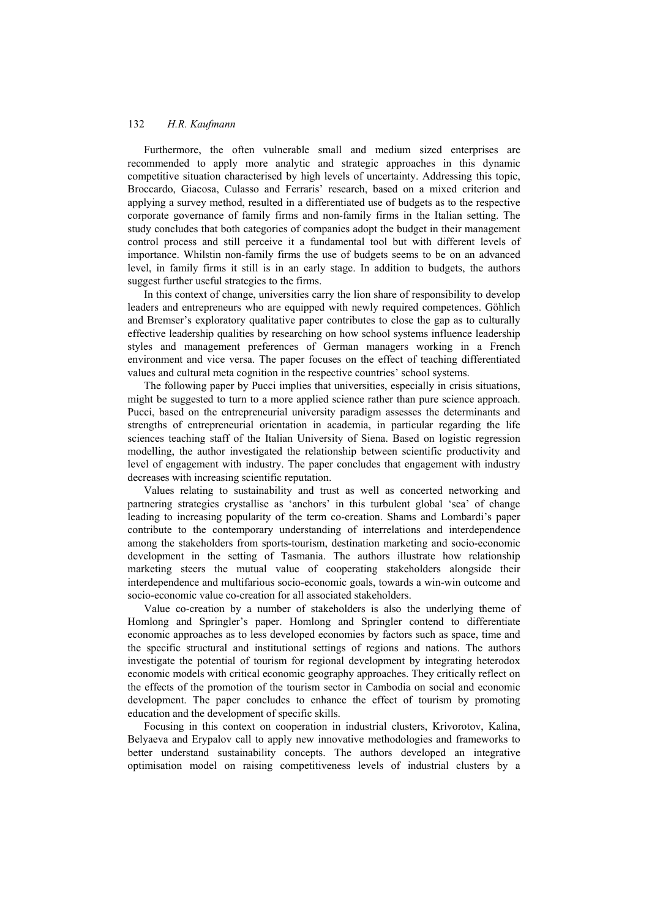### 132 *H.R. Kaufmann*

Furthermore, the often vulnerable small and medium sized enterprises are recommended to apply more analytic and strategic approaches in this dynamic competitive situation characterised by high levels of uncertainty. Addressing this topic, Broccardo, Giacosa, Culasso and Ferraris' research, based on a mixed criterion and applying a survey method, resulted in a differentiated use of budgets as to the respective corporate governance of family firms and non-family firms in the Italian setting. The study concludes that both categories of companies adopt the budget in their management control process and still perceive it a fundamental tool but with different levels of importance. Whilstin non-family firms the use of budgets seems to be on an advanced level, in family firms it still is in an early stage. In addition to budgets, the authors suggest further useful strategies to the firms.

In this context of change, universities carry the lion share of responsibility to develop leaders and entrepreneurs who are equipped with newly required competences. Göhlich and Bremser's exploratory qualitative paper contributes to close the gap as to culturally effective leadership qualities by researching on how school systems influence leadership styles and management preferences of German managers working in a French environment and vice versa. The paper focuses on the effect of teaching differentiated values and cultural meta cognition in the respective countries' school systems.

The following paper by Pucci implies that universities, especially in crisis situations, might be suggested to turn to a more applied science rather than pure science approach. Pucci, based on the entrepreneurial university paradigm assesses the determinants and strengths of entrepreneurial orientation in academia, in particular regarding the life sciences teaching staff of the Italian University of Siena. Based on logistic regression modelling, the author investigated the relationship between scientific productivity and level of engagement with industry. The paper concludes that engagement with industry decreases with increasing scientific reputation.

Values relating to sustainability and trust as well as concerted networking and partnering strategies crystallise as 'anchors' in this turbulent global 'sea' of change leading to increasing popularity of the term co-creation. Shams and Lombardi's paper contribute to the contemporary understanding of interrelations and interdependence among the stakeholders from sports-tourism, destination marketing and socio-economic development in the setting of Tasmania. The authors illustrate how relationship marketing steers the mutual value of cooperating stakeholders alongside their interdependence and multifarious socio-economic goals, towards a win-win outcome and socio-economic value co-creation for all associated stakeholders.

Value co-creation by a number of stakeholders is also the underlying theme of Homlong and Springler's paper. Homlong and Springler contend to differentiate economic approaches as to less developed economies by factors such as space, time and the specific structural and institutional settings of regions and nations. The authors investigate the potential of tourism for regional development by integrating heterodox economic models with critical economic geography approaches. They critically reflect on the effects of the promotion of the tourism sector in Cambodia on social and economic development. The paper concludes to enhance the effect of tourism by promoting education and the development of specific skills.

Focusing in this context on cooperation in industrial clusters, Krivorotov, Kalina, Belyaeva and Erypalov call to apply new innovative methodologies and frameworks to better understand sustainability concepts. The authors developed an integrative optimisation model on raising competitiveness levels of industrial clusters by a